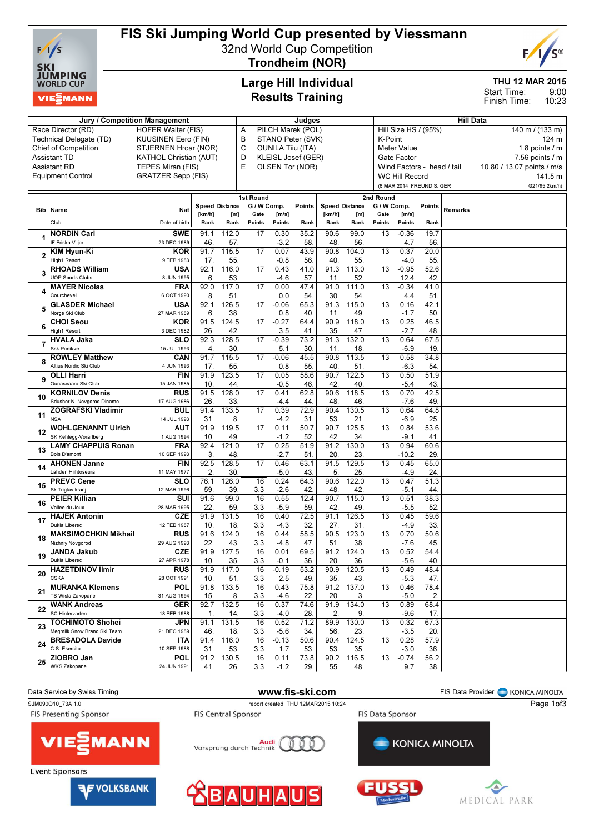

# FIS Ski Jumping World Cup presented by Viessmann

32nd World Cup Competition



Trondheim (NOR)

### Large Hill Individual Results Training

### THU 12 MAR 2015

9:00 10:23 Start Time: Finish Time:

|    | Jury / Competition Management                          |                               | Judges                  |              |                          |                                               |                   |                       | <b>Hill Data</b>          |                          |                                   |               |         |                                               |  |
|----|--------------------------------------------------------|-------------------------------|-------------------------|--------------|--------------------------|-----------------------------------------------|-------------------|-----------------------|---------------------------|--------------------------|-----------------------------------|---------------|---------|-----------------------------------------------|--|
|    | Race Director (RD)                                     | <b>HOFER Walter (FIS)</b>     |                         |              | Α                        |                                               | PILCH Marek (POL) |                       |                           |                          | Hill Size HS / (95%)              |               |         | 140 m / (133 m)                               |  |
|    | Technical Delegate (TD)                                | <b>KUUSINEN Eero (FIN)</b>    |                         |              | В<br>STANO Peter (SVK)   |                                               |                   |                       |                           |                          | K-Point                           |               |         | 124 m                                         |  |
|    | <b>Chief of Competition</b>                            |                               | STJERNEN Hroar (NOR)    |              |                          | С<br><b>OUNILA Tiiu (ITA)</b>                 |                   |                       |                           |                          |                                   |               |         | 1.8 points $\sqrt{}$ m                        |  |
|    | Assistant TD                                           | <b>KATHOL Christian (AUT)</b> |                         |              | D<br>KLEISL Josef (GER)  |                                               |                   |                       |                           |                          | <b>Meter Value</b><br>Gate Factor |               |         |                                               |  |
|    | Assistant RD                                           | TEPES Miran (FIS)             |                         |              | E                        | OLSEN Tor (NOR)<br>Wind Factors - head / tail |                   |                       |                           |                          |                                   |               |         | 7.56 points / m<br>10.80 / 13.07 points / m/s |  |
|    | <b>Equipment Control</b>                               | <b>GRATZER Sepp (FIS)</b>     |                         |              |                          |                                               |                   |                       |                           |                          | <b>WC Hill Record</b>             |               |         | 141.5 m                                       |  |
|    |                                                        |                               |                         |              |                          |                                               |                   |                       | (6 MAR 2014 FREUND S. GER |                          |                                   | G21/95.2km/h) |         |                                               |  |
|    |                                                        |                               |                         |              |                          |                                               |                   |                       |                           |                          |                                   |               |         |                                               |  |
|    |                                                        |                               | <b>Speed Distance</b>   |              | 1st Round<br>G / W Comp. |                                               | Points            | <b>Speed Distance</b> |                           | 2nd Round<br>G / W Comp. |                                   | Points        |         |                                               |  |
|    | <b>Bib Name</b>                                        | Nat                           | [km/h]                  | [m]          | Gate                     | [m/s]                                         |                   | [km/h]                | [m]                       | Gate                     | [m/s]                             |               | Remarks |                                               |  |
|    | Club                                                   | Date of birth                 | Rank                    | Rank         | Points                   | Points                                        | Rank              | Rank                  | Rank                      | Points                   | Points                            | Rank          |         |                                               |  |
|    | <b>NORDIN Carl</b>                                     | <b>SWE</b>                    | 91.1                    | 112.0        | 17                       | 0.30                                          | 35.2              | 90.6                  | 99.0                      | 13                       | $-0.36$                           | 19.7          |         |                                               |  |
|    | IF Friska Viljor                                       | 23 DEC 1989                   | 46.                     | 57.          |                          | $-3.2$                                        | 58.               | 48.                   | 56.                       |                          | 4.7                               | 56.           |         |                                               |  |
|    | KIM Hyun-Ki                                            | <b>KOR</b>                    | 91.7                    | 115.5        | 17                       | 0.07                                          | 43.9              | 90.8                  | 104.0                     | 13                       | 0.37                              | 20.0          |         |                                               |  |
| 2  | High1 Resort                                           | 9 FEB 1983                    | 17.                     | 55.          |                          | $-0.8$                                        | 56.               | 40.                   | 55.                       |                          | $-4.0$                            | 55.           |         |                                               |  |
| 3  | <b>RHOADS William</b>                                  | <b>USA</b>                    | 92.1                    | 116.0        | 17                       | 0.43                                          | 41.0              | 91.3                  | 113.0                     | 13                       | $-0.95$                           | 52.6          |         |                                               |  |
|    | <b>UOP Sports Clubs</b>                                | 8 JUN 1995                    | 6.                      | 53.          |                          | $-4.6$                                        | 57.               | 11.                   | 52.                       |                          | 12.4                              | 42.           |         |                                               |  |
| 4  | <b>MAYER Nicolas</b>                                   | <b>FRA</b>                    | 92.0                    | 117.0        | 17                       | 0.00                                          | 47.4              | 91.0                  | 111.0                     | 13                       | $-0.34$                           | 41.0          |         |                                               |  |
|    | Courchevel                                             | 6 OCT 1990                    | 8.                      | 51.          |                          | 0.0                                           | 54                | 30.                   | 54.                       |                          | 4.4                               | 51            |         |                                               |  |
| 5  | <b>GLASDER Michael</b>                                 | <b>USA</b>                    | 92.1                    | 126.5        | 17                       | $-0.06$                                       | 65.3              | 91.3                  | 115.0                     | 13                       | 0.16                              | 42.1          |         |                                               |  |
|    | Norge Ski Club                                         | 27 MAR 1989                   | 6.                      | 38.          |                          | 0.8                                           | 40.               | 11                    | 49                        |                          | $-1.7$                            | 50            |         |                                               |  |
| 6  | <b>CHOI Seou</b><br>High1 Resort                       | <b>KOR</b><br>3 DEC 1982      | 91.5<br>26.             | 124.5<br>42  | 17                       | $-0.27$<br>3.5                                | 64.4<br>41.       | 90.9<br>35.           | 118.0<br>47.              | 13                       | 0.25<br>$-2.7$                    | 46.5<br>48.   |         |                                               |  |
|    | <b>HVALA Jaka</b>                                      | <b>SLO</b>                    | 92.3                    | 128.5        | 17                       | $-0.39$                                       | 73.2              | 91.3                  | 132.0                     | 13                       | 0.64                              | 67.5          |         |                                               |  |
|    | <b>Ssk Ponikve</b>                                     | 15 JUL 1993                   | $\overline{4}$          | 30           |                          | 5.1                                           | 30.               | 11.                   | 18.                       |                          | $-6.9$                            | 19.           |         |                                               |  |
|    | <b>ROWLEY Matthew</b>                                  | CAN                           | 91.7                    | 115.5        | 17                       | $-0.06$                                       | 45.5              | 90.8                  | 113.5                     | 13                       | 0.58                              | 34.8          |         |                                               |  |
| 8  | Altius Nordic Ski Club                                 | 4 JUN 1993                    | 17                      | 55           |                          | 0.8                                           | 55.               | 40                    | 51.                       |                          | $-6.3$                            | 54.           |         |                                               |  |
|    | <b>OLLI Harri</b>                                      | <b>FIN</b>                    | 91.9                    | 123.5        | 17                       | 0.05                                          | 58.6              | 90.7                  | 122.5                     | 13                       | 0.50                              | 51.9          |         |                                               |  |
| 9  | Ounasvaara Ski Club                                    | 15 JAN 1985                   | 10                      | 44           |                          | $-0.5$                                        | 46.               | 42.                   | 40.                       |                          | $-5.4$                            | 43.           |         |                                               |  |
| 10 | <b>KORNILOV Denis</b>                                  | <b>RUS</b>                    | 91.5                    | 128.0        | 17                       | 0.41                                          | 62.8              | 90.6                  | 118.5                     | 13                       | 0.70                              | 42.5          |         |                                               |  |
|    | Sdushor N. Novgorod Dinamo                             | 17 AUG 1986                   | 26                      | 33.          |                          | $-4.4$                                        | 44.               | 48.                   | 46.                       |                          | $-7.6$                            | 49.           |         |                                               |  |
| 11 | <b>ZOGRAFSKI Vladimir</b>                              | <b>BUL</b>                    | 91.4                    | 133.5        | 17                       | 0.39                                          | 72.9              | 90.4                  | 130.5                     | 13                       | 0.64                              | 64.8          |         |                                               |  |
|    | <b>NSA</b>                                             | 14 JUL 1993                   | 31                      | 8            |                          | $-4.2$                                        | 31.               | 53.                   | 21.                       |                          | $-6.9$                            | 25            |         |                                               |  |
| 12 | <b>WOHLGENANNT Ulrich</b>                              | aut                           | 91.9                    | 119.5        | 17                       | 0.11                                          | 50.7              | 90.7                  | 125.5                     | 13                       | 0.84                              | 53.6          |         |                                               |  |
|    | SK Kehlegg-Vorarlberg<br><b>LAMY CHAPPUIS Ronan</b>    | 1 AUG 1994<br><b>FRA</b>      | 10.<br>92.4             | 49<br>121.0  | 17                       | $-1.2$<br>0.25                                | 52.<br>51.9       | 42.<br>91.2           | 34.<br>130.0              | 13                       | $-9.1$<br>0.94                    | 41.<br>60.6   |         |                                               |  |
| 13 | Bois D'amont                                           | 10 SEP 1993                   | 3.                      | 48           |                          | $-2.7$                                        | 51.               | 20.                   | 23.                       |                          | -10.2                             | 29            |         |                                               |  |
|    | <b>AHONEN Janne</b>                                    | <b>FIN</b>                    | 92.5                    | 128.5        | 17                       | 0.46                                          | 63.1              | 91.5                  | 129.5                     | 13                       | 0.45                              | 65.0          |         |                                               |  |
| 14 | Lahden Hiihtoseura                                     | 11 MAY 1977                   | $\mathbf{2}$            | 30           |                          | $-5.0$                                        | 43.               | 5.                    | 25.                       |                          | $-4.9$                            | 24.           |         |                                               |  |
|    | <b>PREVC Cene</b>                                      | <b>SLO</b>                    | 76.1                    | 126.0        | 16                       | 0.24                                          | 64.3              | 90.6                  | 122.0                     | 13                       | 0.47                              | 51.3          |         |                                               |  |
| 15 | Sk Triglav kranj                                       | 12 MAR 1996                   | 59                      | 39           | 3.3                      | $-2.6$                                        | 42                | 48.                   | 42.                       |                          | $-5.1$                            | 44.           |         |                                               |  |
| 16 | <b>PEIER Killian</b>                                   | SUI                           | 91.6                    | 99.0         | 16                       | 0.55                                          | 12.4              | 90.7                  | 115.0                     | 13                       | 0.51                              | 38.3          |         |                                               |  |
|    | Vallee du Joux                                         | 28 MAR 1995                   | 22.                     | 59           | 3.3                      | $-5.9$                                        | 59                | 42                    | 49.                       |                          | $-5.5$                            | 52.           |         |                                               |  |
| 17 | <b>HAJEK Antonin</b>                                   | <b>CZE</b>                    | 91.9                    | 131.5        | 16                       | 0.40                                          | 72.5              | 91.1                  | 126.5                     | 13                       | 0.45                              | 59.6          |         |                                               |  |
|    | Dukla Liberec<br><b>MAKSIMOCHKIN Mikhail</b>           | 12 FEB 1987                   | 10 <sub>1</sub><br>91.6 | 18.<br>124.0 | 3.3<br>16                | $-4.3$<br>0.44                                | 32.<br>58.5       | 27.<br>90.5           | 31.<br>123.0              |                          | $-4.9$<br>0.70                    | 33.<br>50.6   |         |                                               |  |
| 18 | Nizhniy Novgorod                                       | <b>RUS</b><br>29 AUG 1993     | 22.                     | 43           | 3.3                      | $-4.8$                                        | 47.               | 51.                   | 38.                       | 13                       | $-7.6$                            | 45.           |         |                                               |  |
|    | <b>JANDA Jakub</b>                                     | <b>CZE</b>                    | 91.9                    | 127.5        | 16                       | 0.01                                          | 69.5              | 91.2                  | 124.0                     | 13                       | 0.52                              | 54.4          |         |                                               |  |
| 19 | Dukla Liberec                                          | 27 APR 1978                   | 10.                     | 35.          | 3.3                      | $-0.1$                                        | 36.               | 20.                   | 36.                       |                          | $-5.6$                            | 40.           |         |                                               |  |
|    | <b>HAZETDINOV Ilmir</b>                                | <b>RUS</b>                    | 91.9                    | 117.0        | 16                       | $-0.19$                                       | 53.2              | 90.9                  | 120.5                     | 13                       | 0.49                              | 48.4          |         |                                               |  |
| 20 | <b>CSKA</b>                                            | 28 OCT 1991                   | 10 <sub>1</sub>         | 51.          | 3.3                      | 2.5                                           | 49.               | 35.                   | 43.                       |                          | $-5.3$                            | 47.           |         |                                               |  |
| 21 | <b>MURANKA Klemens</b>                                 | POL                           | 91.8                    | 133.5        | 16                       | 0.43                                          | 75.8              | 91.2                  | 137.0                     | 13                       | 0.46                              | 78.4          |         |                                               |  |
|    | TS Wisla Zakopane                                      | 31 AUG 1994                   | 15.                     | 8.           | 3.3                      | $-4.6$                                        | 22.               | 20.                   | 3.                        |                          | $-5.0$                            | 2.            |         |                                               |  |
| 22 | <b>WANK Andreas</b>                                    | <b>GER</b>                    | 92.7                    | 132.5        | 16                       | 0.37                                          | 74.6              | 91.9                  | 134.0                     | 13                       | 0.89                              | 68.4          |         |                                               |  |
|    | SC Hinterzarten                                        | 18 FEB 1988                   | 1.                      | 14.          | 3.3                      | $-4.0$                                        | 28.               | 2.                    | 9.                        |                          | $-9.6$                            | 17.           |         |                                               |  |
| 23 | <b>TOCHIMOTO Shohei</b><br>Megmilk Snow Brand Ski Team | JPN                           | 91.1                    | 131.5        | 16                       | 0.52                                          | 71.2              | 89.9                  | 130.0                     | 13                       | 0.32                              | 67.3          |         |                                               |  |
|    | <b>BRESADOLA Davide</b>                                | 21 DEC 1989<br>ITA            | 46.<br>91.4             | 18.<br>116.0 | 3.3<br>16                | $-5.6$<br>$-0.13$                             | 34.<br>50.6       | 56.<br>90.4           | 23.<br>124.5              | 13                       | $-3.5$<br>0.28                    | 20.<br>57.9   |         |                                               |  |
| 24 | C.S. Esercito                                          | 10 SEP 1988                   | 31                      | 53.          | 3.3                      | 1.7                                           | 53.               | 53.                   | 35.                       |                          | $-3.0$                            | 36.           |         |                                               |  |
|    | ZIOBRO Jan                                             | <b>POL</b>                    | 91.2                    | 130.5        | 16                       | 0.11                                          | 73.8              | 90.2                  | 116.5                     | $\overline{13}$          | $-0.74$                           | 56.2          |         |                                               |  |
| 25 | WKS Zakopane                                           | 24 JUN 1991                   | 41.                     | 26.          | 3.3                      | $-1.2$                                        | 29.               | 55.                   | 48.                       |                          | 9.7                               | 38.           |         |                                               |  |
|    |                                                        |                               |                         |              |                          |                                               |                   |                       |                           |                          |                                   |               |         |                                               |  |

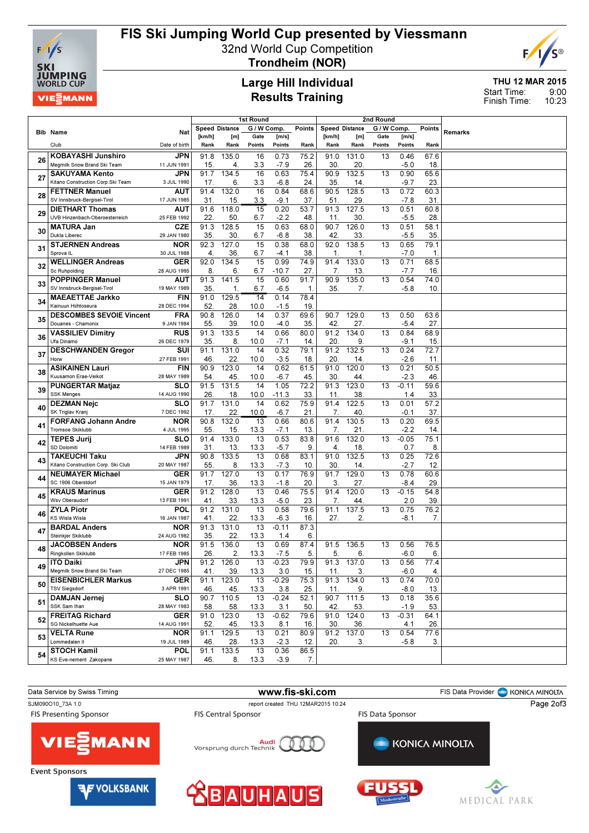

# FIS Ski Jumping World Cup presented by Viessmann

32nd World Cup Competition



Trondheim (NOR)

### Large Hill Individual Results Training

THU 12 MAR 2015 9:00 10:23 Start Time: Finish Time:

|    |                                                            | 1st Round<br>2nd Round<br>Speed Distance<br>G / W Comp.<br>Speed Distance<br>G / W Comp. |                |              |                        |                |               |                |              |        |                   |               |         |
|----|------------------------------------------------------------|------------------------------------------------------------------------------------------|----------------|--------------|------------------------|----------------|---------------|----------------|--------------|--------|-------------------|---------------|---------|
|    | <b>Bib Name</b>                                            | Nat                                                                                      | [km/h]         | [m]          | Gate                   | [m/s]          | <b>Points</b> | [km/h]         | [m]          | Gate   | [m/s]             | <b>Points</b> | Remarks |
|    | Club                                                       | Date of birth                                                                            | Rank           | Rank         | Points                 | Points         | Rank          | Rank           | Rank         | Points | Points            | Rank          |         |
|    |                                                            |                                                                                          |                |              |                        |                |               |                |              |        |                   |               |         |
| 26 | <b>KOBAYASHI Junshiro</b><br>Megmilk Snow Brand Ski Team   | <b>JPN</b>                                                                               | 91.8           | 135.0        | 16                     | 0.73           | 75.2          | 91.0           | 131.0        | 13     | 0.46              | 67.6          |         |
|    |                                                            | 11 JUN 1991                                                                              | 15.            | 4.           | 3.3                    | $-7.9$         | 26            | 30.            | 20.          |        | $-5.0$            | 18.           |         |
| 27 | <b>SAKUYAMA Kento</b><br>Kitano Construction Corp.Ski Team | JPN<br>3 JUL 1990                                                                        | 91.7           | 134.5        | 16                     | 0.63           | 75.4          | 90.9           | 132.5        | 13     | 0.90              | 65.6          |         |
|    |                                                            |                                                                                          | 17.<br>91.4    | 6.<br>132.0  | 3.3<br>16              | $-6.8$<br>0.84 | 24<br>68.6    | 35.<br>90.5    | 14.<br>128.5 | 13     | $-9.7$<br>0.72    | 23<br>60.3    |         |
| 28 | <b>FETTNER Manuel</b><br>SV Innsbruck-Bergisel-Tirol       | <b>AUT</b><br>17 JUN 1985                                                                |                |              |                        |                |               |                |              |        |                   |               |         |
|    | <b>DIETHART Thomas</b>                                     | <b>AUT</b>                                                                               | 31<br>91.6     | 15.<br>118.0 | 3.3<br>$\overline{15}$ | $-9.1$<br>0.20 | 37<br>53.7    | 51.<br>91.3    | 29.<br>127.5 | 13     | $-7.8$<br>0.51    | 31<br>60.8    |         |
| 29 | UVB Hinzenbach-Oberoesterreich                             | 25 FEB 1992                                                                              | 22.            | 50.          | 6.7                    | $-2.2$         | 48.           | 11.            | 30.          |        | $-5.5$            | 28            |         |
|    | <b>MATURA Jan</b>                                          | <b>CZE</b>                                                                               | 91.3           | 128.5        | 15                     | 0.63           | 68.0          | 90.7           | 126.0        | 13     | 0.51              | 58.1          |         |
| 30 | Dukla Liberec                                              | 29 JAN 1980                                                                              | 35             | 30.          | 6.7                    | $-6.8$         | 38            | 42.            | 33.          |        | $-5.5$            | 35            |         |
|    | <b>STJERNEN Andreas</b>                                    | <b>NOR</b>                                                                               | 92.3           | 127.0        | 15                     | 0.38           | 68.0          | 92.0           | 138.5        | 13     | 0.65              | 79.1          |         |
| 31 | Sprova <sub>IL</sub>                                       | 30 JUL 1988                                                                              | $\overline{4}$ | 36.          | 6.7                    | $-4.1$         | 38            | $\mathbf{1}$   | $\mathbf{1}$ |        | $-7.0$            | 1.            |         |
|    | <b>WELLINGER Andreas</b>                                   | <b>GER</b>                                                                               | 92.0           | 134.5        | 15                     | 0.99           | 74.9          | 91.4           | 133.0        | 13     | 0.71              | 68.5          |         |
| 32 | Sc Ruhpolding                                              | 28 AUG 1995                                                                              | 8.             | 6.           | 6.7                    | $-10.7$        | 27.           | 7.             | 13.          |        | $-7.7$            | 16            |         |
|    | <b>POPPINGER Manuel</b>                                    | <b>AUT</b>                                                                               | 91.3           | 141.5        | 15                     | 0.60           | 91.7          | 90.9           | 135.0        | 13     | 0.54              | 74.0          |         |
| 33 | SV Innsbruck-Bergisel-Tirol                                | 19 MAY 1989                                                                              | 35.            | 1.           | 6.7                    | $-6.5$         | 1.            | 35.            | 7.           |        | $-5.8$            | 10            |         |
| 34 | <b>MAEAETTAE Jarkko</b>                                    | <b>FIN</b>                                                                               | 91.0           | 129.5        | $\overline{14}$        | 0.14           | 78.4          |                |              |        |                   |               |         |
|    | Kainuun Hiihtoseura                                        | 28 DEC 1994                                                                              | 52.            | 28.          | 10.0                   | $-1.5$         | 19.           |                |              |        |                   |               |         |
| 35 | <b>DESCOMBES SEVOIE Vincent</b>                            | <b>FRA</b>                                                                               | 90.8           | 126.0        | 14                     | 0.37           | 69.6          | 90.7           | 129.0        | 13     | 0.50              | 63.6          |         |
|    | Douanes - Chamonix                                         | 9 JAN 1984                                                                               | 55.            | 39.          | 10.0                   | $-4.0$         | 35.           | 42.            | 27.          |        | $-5.4$            | 27            |         |
| 36 | <b>VASSILIEV Dimitry</b>                                   | <b>RUS</b>                                                                               | 91.3           | 133.5        | 14                     | 0.66           | 80.0          | 91.2           | 134.0        | 13     | 0.84              | 68.9          |         |
|    | Ufa Dinamo                                                 | 26 DEC 1979                                                                              | 35.            | 8.           | 10.0                   | $-7.1$         | 14.           | 20.            | 9.           |        | $-9.1$            | 15            |         |
| 37 | <b>DESCHWANDEN Gregor</b>                                  | SUI                                                                                      | 91.1           | 131.0        | 14                     | 0.32           | 79.1          | 91.2           | 132.5        | 13     | 0.24              | 72.7          |         |
|    | Horw                                                       | 27 FEB 1991                                                                              | 46             | 22.          | 10.0                   | $-3.5$         | 18.           | 20.            | 14           |        | $-2.6$            | 11            |         |
| 38 | <b>ASIKAINEN Lauri</b><br>Kuusamon Erae-Veikot             | <b>FIN</b><br>28 MAY 1989                                                                | 90.9<br>54     | 123.0<br>45. | 14<br>10.0             | 0.62<br>$-6.7$ | 61.5<br>45.   | 91.0<br>30.    | 120.0<br>44. | 13     | 0.21<br>$-2.3$    | 50.5<br>46    |         |
|    | <b>PUNGERTAR Matjaz</b>                                    | <b>SLO</b>                                                                               | 91.5           | 131.5        | 14                     | 1.05           | 72.2          | 91.3           | 123.0        | 13     | $-0.11$           | 59.6          |         |
| 39 | <b>SSK Menges</b>                                          | 14 AUG 1990                                                                              | 26             | 18.          | 10.0                   | $-11.3$        | 33.           | 11             | 38.          |        | 1.4               | 33            |         |
|    | <b>DEZMAN Nejc</b>                                         | <b>SLO</b>                                                                               | 91.7           | 131.0        | $\overline{14}$        | 0.62           | 75.9          | 91.4           | 122.5        | 13     | 0.01              | 57.2          |         |
| 40 | SK Triglav Kranj                                           | 7 DEC 1992                                                                               | 17.            | 22.          | 10.0                   | $-6.7$         | 21            | 7.             | 40           |        | $-0.1$            | 37            |         |
|    | <b>FORFANG Johann Andre</b>                                | NOR                                                                                      | 90.8           | 132.0        | $\overline{13}$        | 0.66           | 80.6          | 91.4           | 130.5        | 13     | 0.20              | 69.5          |         |
| 41 | Tromsoe Skiklubb                                           | 4 JUL 1995                                                                               | 55.            | 15.          | 13.3                   | $-7.1$         | 13.           | 7.             | 21.          |        | $-2.2$            | 14.           |         |
| 42 | <b>TEPES Jurij</b>                                         | <b>SLO</b>                                                                               | 91.4           | 133.0        | 13                     | 0.53           | 83.8          | 91.6           | 132.0        | 13     | $-0.05$           | 75.1          |         |
|    | SD Dolomiti                                                | 14 FEB 1989                                                                              | 31             | 13.          | 13.3                   | $-5.7$         | 9.            | $\overline{4}$ | 18.          |        | 0.7               | 8             |         |
| 43 | <b>TAKEUCHI Taku</b>                                       | JPN                                                                                      | 90.8           | 133.5        | 13                     | 0.68           | 83.1          | 91.0           | 132.5        | 13     | 0.25              | 72.6          |         |
|    | Kitano Construction Corp. Ski Club                         | 20 MAY 1987                                                                              | 55.            | 8.           | 13.3                   | $-7.3$         | 10.           | 30.            | 14.          |        | $-2.7$            | 12            |         |
| 44 | <b>NEUMAYER Michael</b>                                    | GER                                                                                      | 91.7           | 127.0        | 13                     | 0.17           | 76.9          | 91.7           | 129.0        | 13     | 0.78              | 60.6          |         |
|    | SC 1906 Oberstdorf<br><b>KRAUS Marinus</b>                 | 15 JAN 1979<br>GER                                                                       | 17.<br>91.2    | 36.<br>128.0 | 13.3<br>13             | $-1.8$<br>0.46 | 20<br>75.5    | 3.<br>91.4     | 27.<br>120.0 | 13     | $-8.4$<br>$-0.15$ | 29<br>54.8    |         |
| 45 | Wsv Oberaudorf                                             | 13 FEB 1991                                                                              | 41             | 33.          | 13.3                   | $-5.0$         | 23.           | 7.             | 44.          |        | 2.0               | 39            |         |
|    | <b>ZYLA Piotr</b>                                          | POL                                                                                      | 91.2           | 131.0        | 13                     | 0.58           | 79.6          | 91.1           | 137.5        | 13     | 0.75              | 76.2          |         |
| 46 | <b>KS Wisla Wisla</b>                                      | 16 JAN 1987                                                                              | 41.            | 22.          | 13.3                   | $-6.3$         | 16.           | 27.            | 2.           |        | $-8.1$            | 7.            |         |
|    | <b>BARDAL Anders</b>                                       | NOR                                                                                      | 91.3           | 131.0        | 13                     | $-0.11$        | 87.3          |                |              |        |                   |               |         |
| 47 | Steinkjer Skiklubb                                         | 24 AUG 1982                                                                              | 35.            | 22.          | 13.3                   | 1.4            | 6.            |                |              |        |                   |               |         |
| 48 | <b>JACOBSEN Anders</b>                                     | <b>NOR</b>                                                                               | 91.5           | 136.0        | 13                     | 0.69           | 87.4          | 91.5           | 136.5        | 13     | 0.56              | 76.5          |         |
|    | Ringkollen Skiklubb                                        | 17 FEB 1985                                                                              | 26.            |              | 13.3                   | -7.5           | 5.            | 5.             | ь.           |        | $-6.0$            | 6.            |         |
| 49 | <b>ITO Daiki</b>                                           | <b>JPN</b>                                                                               | 91.2           | 126.0        | 13                     | $-0.23$        | 79.9          | 91.3           | 137.0        | 13     | 0.56              | 77.4          |         |
|    | Megmilk Snow Brand Ski Team                                | 27 DEC 1985                                                                              | 41.            | 39.          | 13.3                   | 3.0            | 15.           | 11.            | 3.           |        | $-6.0$            | 4.            |         |
| 50 | <b>EISENBICHLER Markus</b>                                 | <b>GER</b>                                                                               | 91.1           | 123.0        | 13                     | $-0.29$        | 75.3          | 91.3           | 134.0        | 13     | 0.74              | 70.0          |         |
|    | <b>TSV Siegsdorf</b>                                       | 3 APR 1991                                                                               | 46.            | 45.          | 13.3                   | 3.8            | 25.           | 11.            | 9.           |        | $-8.0$            | 13.           |         |
| 51 | <b>DAMJAN Jernej</b><br>SSK Sam Ihan                       | <b>SLO</b><br>28 MAY 1983                                                                | 90.7           | 110.5        | $\overline{13}$        | $-0.24$        | 52.1          | 90.7           | 111.5        | 13     | 0.18              | 35.6          |         |
|    | <b>FREITAG Richard</b>                                     | <b>GER</b>                                                                               | 58.<br>91.0    | 58.<br>123.0 | 13.3<br>13             | 3.1<br>$-0.62$ | 50<br>79.6    | 42.<br>91.0    | 53.<br>124.0 | 13     | $-1.9$<br>$-0.31$ | 53.<br>64.1   |         |
| 52 | SG Nickelhuette Aue                                        | 14 AUG 1991                                                                              | 52.            | 45.          | 13.3                   | 8.1            | 16.           | 30.            | 36.          |        | 4.1               | 26.           |         |
|    | <b>VELTA Rune</b>                                          | <b>NOR</b>                                                                               | 91.1           | 129.5        | $\overline{13}$        | 0.21           | 80.9          | 91.2           | 137.0        | 13     | 0.54              | 77.6          |         |
| 53 | Lommedalen II                                              | 19 JUL 1989                                                                              | 46.            | 28.          | 13.3                   | $-2.3$         | 12.           | 20.            | 3.           |        | $-5.8$            | 3.            |         |
|    | <b>STOCH Kamil</b>                                         | <b>POL</b>                                                                               | 91.1           | 133.5        | $\overline{13}$        | 0.36           | 86.5          |                |              |        |                   |               |         |
| 54 | KS Eve-nement Zakopane                                     | 25 MAY 1987                                                                              | 46.            | 8.           | 13.3                   | $-3.9$         | 7.            |                |              |        |                   |               |         |